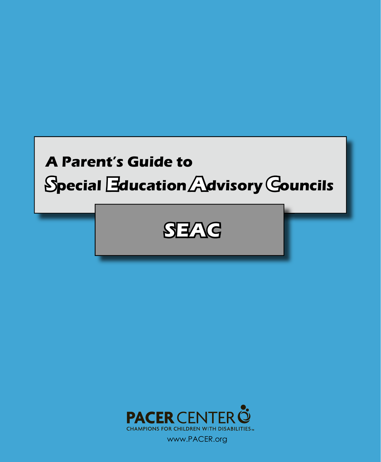



www.PACER.org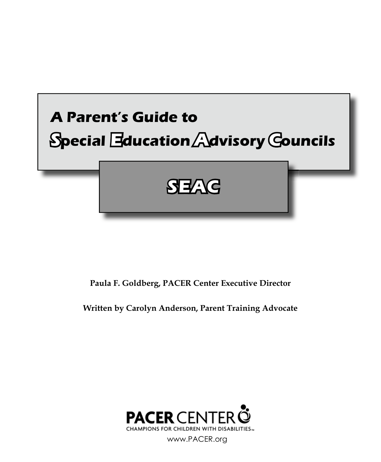

**Paula F. Goldberg, PACER Center Executive Director**

**Written by Carolyn Anderson, Parent Training Advocate**



www.PACER.org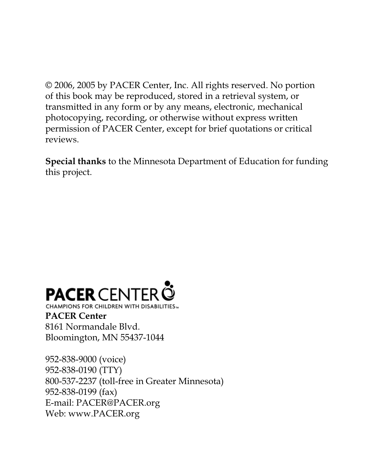© 2006, 2005 by PACER Center, Inc. All rights reserved. No portion of this book may be reproduced, stored in a retrieval system, or transmitted in any form or by any means, electronic, mechanical photocopying, recording, or otherwise without express written permission of PACER Center, except for brief quotations or critical reviews.

**Special thanks** to the Minnesota Department of Education for funding this project.

# **PACER** CENTER<sup>3</sup>

CHAMPIONS FOR CHILDREN WITH DISABILITIES... **PACER Center** 8161 Normandale Blvd. Bloomington, MN 55437-1044

952-838-9000 (voice) 952-838-0190 (TTY) 800-537-2237 (toll-free in Greater Minnesota) 952-838-0199 (fax) E-mail: PACER@PACER.org Web: www.PACER.org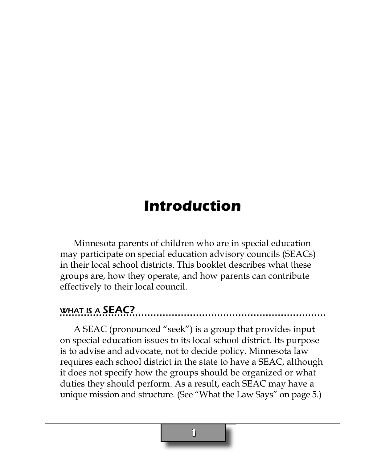### **Introduction**

Minnesota parents of children who are in special education may participate on special education advisory councils (SEACs) in their local school districts. This booklet describes what these groups are, how they operate, and how parents can contribute effectively to their local council.

#### WHAT IS A **SEAC?**

A SEAC (pronounced "seek") is a group that provides input on special education issues to its local school district. Its purpose is to advise and advocate, not to decide policy. Minnesota law requires each school district in the state to have a SEAC, although it does not specify how the groups should be organized or what duties they should perform. As a result, each SEAC may have a unique mission and structure. (See "What the Law Says" on page 5.)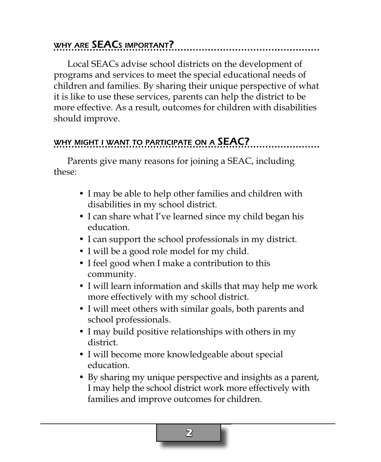#### WHY ARE **SEAC**S IMPORTANT?

Local SEACs advise school districts on the development of programs and services to meet the special educational needs of children and families. By sharing their unique perspective of what it is like to use these services, parents can help the district to be more effective. As a result, outcomes for children with disabilities should improve.

#### WHY MIGHT I WANT TO PARTICIPATE ON A **SEAC?**

Parents give many reasons for joining a SEAC, including these:

- I may be able to help other families and children with disabilities in my school district.
- I can share what I've learned since my child began his education.
- I can support the school professionals in my district.
- I will be a good role model for my child.
- I feel good when I make a contribution to this community.
- I will learn information and skills that may help me work more effectively with my school district.
- I will meet others with similar goals, both parents and school professionals.
- I may build positive relationships with others in my district.
- I will become more knowledgeable about special education.
- By sharing my unique perspective and insights as a parent, I may help the school district work more effectively with families and improve outcomes for children.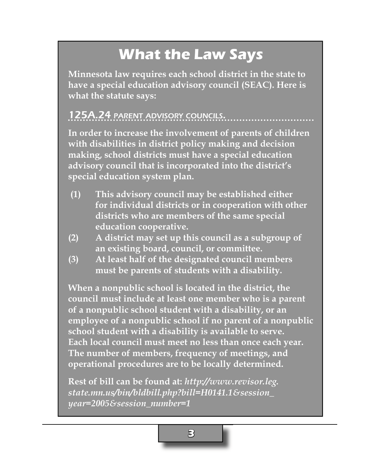## **What the Law Says**

**Minnesota law requires each school district in the state to have a special education advisory council (SEAC). Here is what the statute says:**

#### 125A.24 PARENT ADVISORY COUNCILS.

**In order to increase the involvement of parents of children with disabilities in district policy making and decision making, school districts must have a special education advisory council that is incorporated into the district's special education system plan.** 

- **(1) This advisory council may be established either for individual districts or in cooperation with other districts who are members of the same special education cooperative.**
- **(2) A district may set up this council as a subgroup of an existing board, council, or committee.**
- **(3) At least half of the designated council members must be parents of students with a disability.**

**When a nonpublic school is located in the district, the council must include at least one member who is a parent of a nonpublic school student with a disability, or an employee of a nonpublic school if no parent of a nonpublic school student with a disability is available to serve. Each local council must meet no less than once each year. The number of members, frequency of meetings, and operational procedures are to be locally determined.**

**Rest of bill can be found at:** *http://www.revisor.leg. state.mn.us/bin/bldbill.php?bill=H0141.1&session\_ year=2005&session\_number=1*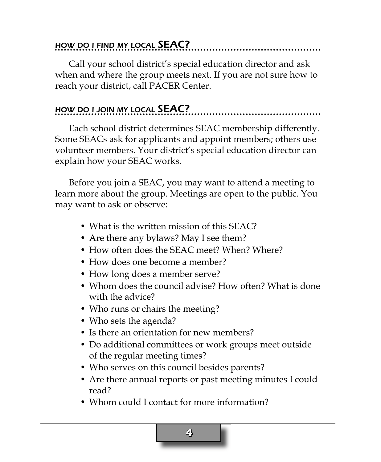#### HOW DO <sup>I</sup> FIND MY LOCAL SEAC?

Call your school district's special education director and ask when and where the group meets next. If you are not sure how to reach your district, call PACER Center.

#### HOW DO I JOIN MY LOCAL **SEAC?**

Each school district determines SEAC membership differently. Some SEACs ask for applicants and appoint members; others use volunteer members. Your district's special education director can explain how your SEAC works.

Before you join a SEAC, you may want to attend a meeting to learn more about the group. Meetings are open to the public. You may want to ask or observe:

- What is the written mission of this SEAC?
- Are there any bylaws? May I see them?
- How often does the SEAC meet? When? Where?
- How does one become a member?
- How long does a member serve?
- Whom does the council advise? How often? What is done with the advice?
- Who runs or chairs the meeting?
- Who sets the agenda?
- Is there an orientation for new members?
- Do additional committees or work groups meet outside of the regular meeting times?
- Who serves on this council besides parents?
- Are there annual reports or past meeting minutes I could read?
- Whom could I contact for more information?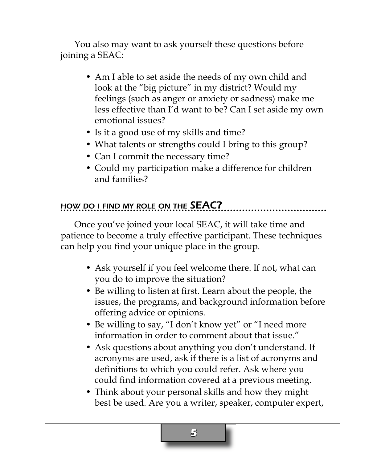You also may want to ask yourself these questions before joining a SEAC:

- Am I able to set aside the needs of my own child and look at the "big picture" in my district? Would my feelings (such as anger or anxiety or sadness) make me less effective than I'd want to be? Can I set aside my own emotional issues?
- Is it a good use of my skills and time?
- What talents or strengths could I bring to this group?
- Can I commit the necessary time?
- Could my participation make a difference for children and families?

#### HOW DO I FIND MY ROLE ON THE SEAC?

Once you've joined your local SEAC, it will take time and patience to become a truly effective participant. These techniques can help you find your unique place in the group.

- Ask yourself if you feel welcome there. If not, what can you do to improve the situation?
- Be willing to listen at first. Learn about the people, the issues, the programs, and background information before offering advice or opinions.
- Be willing to say, "I don't know yet" or "I need more information in order to comment about that issue."
- Ask questions about anything you don't understand. If acronyms are used, ask if there is a list of acronyms and definitions to which you could refer. Ask where you could find information covered at a previous meeting.
- Think about your personal skills and how they might best be used. Are you a writer, speaker, computer expert,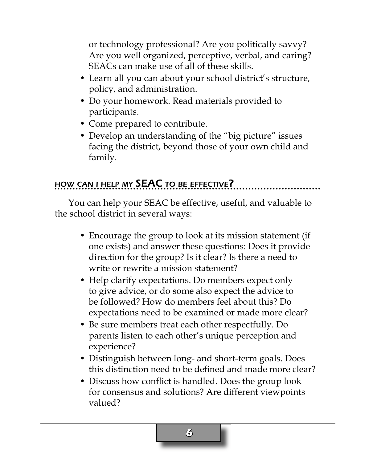or technology professional? Are you politically savvy? Are you well organized, perceptive, verbal, and caring? SEACs can make use of all of these skills.

- Learn all you can about your school district's structure, policy, and administration.
- Do your homework. Read materials provided to participants.
- Come prepared to contribute.
- Develop an understanding of the "big picture" issues facing the district, beyond those of your own child and family.

#### HOW CAN I HELP MY SEAC TO BE EFFECTIVE?

You can help your SEAC be effective, useful, and valuable to the school district in several ways:

- Encourage the group to look at its mission statement (if one exists) and answer these questions: Does it provide direction for the group? Is it clear? Is there a need to write or rewrite a mission statement?
- Help clarify expectations. Do members expect only to give advice, or do some also expect the advice to be followed? How do members feel about this? Do expectations need to be examined or made more clear?
- Be sure members treat each other respectfully. Do parents listen to each other's unique perception and experience?
- Distinguish between long- and short-term goals. Does this distinction need to be defined and made more clear?
- Discuss how conflict is handled. Does the group look for consensus and solutions? Are different viewpoints valued?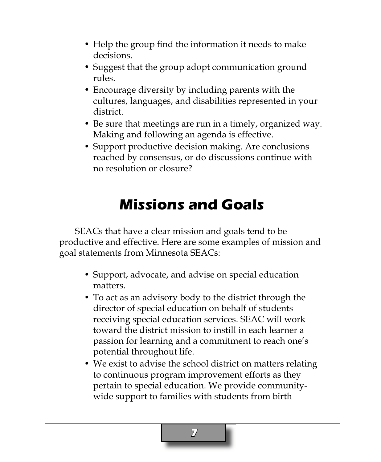- Help the group find the information it needs to make decisions.
- Suggest that the group adopt communication ground rules.
- Encourage diversity by including parents with the cultures, languages, and disabilities represented in your district.
- Be sure that meetings are run in a timely, organized way. Making and following an agenda is effective.
- Support productive decision making. Are conclusions reached by consensus, or do discussions continue with no resolution or closure?

### **Missions and Goals**

 SEACs that have a clear mission and goals tend to be productive and effective. Here are some examples of mission and goal statements from Minnesota SEACs:

- Support, advocate, and advise on special education matters.
- To act as an advisory body to the district through the director of special education on behalf of students receiving special education services. SEAC will work toward the district mission to instill in each learner a passion for learning and a commitment to reach one's potential throughout life.
- We exist to advise the school district on matters relating to continuous program improvement efforts as they pertain to special education. We provide communitywide support to families with students from birth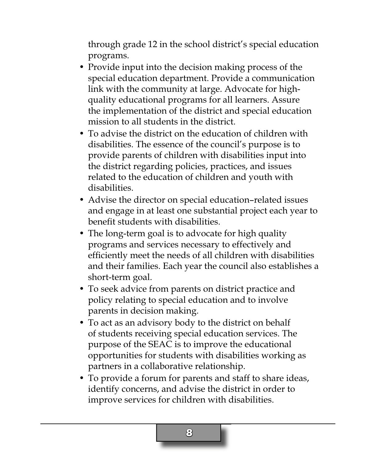through grade 12 in the school district's special education programs.

- Provide input into the decision making process of the special education department. Provide a communication link with the community at large. Advocate for highquality educational programs for all learners. Assure the implementation of the district and special education mission to all students in the district.
- To advise the district on the education of children with disabilities. The essence of the council's purpose is to provide parents of children with disabilities input into the district regarding policies, practices, and issues related to the education of children and youth with disabilities.
- Advise the director on special education–related issues and engage in at least one substantial project each year to benefit students with disabilities.
- The long-term goal is to advocate for high quality programs and services necessary to effectively and efficiently meet the needs of all children with disabilities and their families. Each year the council also establishes a short-term goal.
- To seek advice from parents on district practice and policy relating to special education and to involve parents in decision making.
- To act as an advisory body to the district on behalf of students receiving special education services. The purpose of the SEAC is to improve the educational opportunities for students with disabilities working as partners in a collaborative relationship.
- To provide a forum for parents and staff to share ideas, identify concerns, and advise the district in order to improve services for children with disabilities.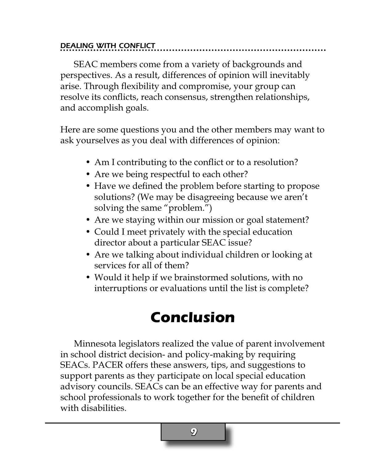#### DEALING WITH CONFLICT

SEAC members come from a variety of backgrounds and perspectives. As a result, differences of opinion will inevitably arise. Through flexibility and compromise, your group can resolve its conflicts, reach consensus, strengthen relationships, and accomplish goals.

Here are some questions you and the other members may want to ask yourselves as you deal with differences of opinion:

- Am I contributing to the conflict or to a resolution?
- Are we being respectful to each other?
- Have we defined the problem before starting to propose solutions? (We may be disagreeing because we aren't solving the same "problem.")
- Are we staying within our mission or goal statement?
- Could I meet privately with the special education director about a particular SEAC issue?
- Are we talking about individual children or looking at services for all of them?
- Would it help if we brainstormed solutions, with no interruptions or evaluations until the list is complete?

### **Conclusion**

Minnesota legislators realized the value of parent involvement in school district decision- and policy-making by requiring SEACs. PACER offers these answers, tips, and suggestions to support parents as they participate on local special education advisory councils. SEACs can be an effective way for parents and school professionals to work together for the benefit of children with disabilities.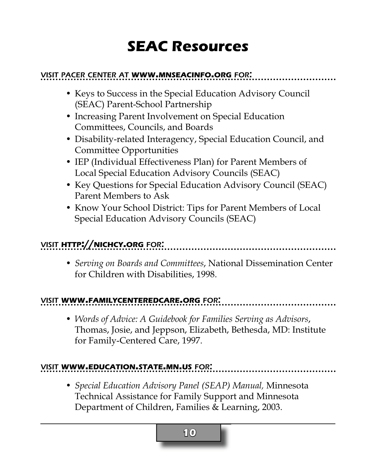### **SEAC Resources**

#### VISIT PACER CENTER AT **WWW.MNSEACINFO.ORG** FOR:

- Keys to Success in the Special Education Advisory Council (SEAC) Parent-School Partnership
- Increasing Parent Involvement on Special Education Committees, Councils, and Boards
- Disability-related Interagency, Special Education Council, and Committee Opportunities
- IEP (Individual Effectiveness Plan) for Parent Members of Local Special Education Advisory Councils (SEAC)
- Key Questions for Special Education Advisory Council (SEAC) Parent Members to Ask
- Know Your School District: Tips for Parent Members of Local Special Education Advisory Councils (SEAC)

#### VISIT **HTTP://NICHCY.ORG** FOR:

• *Serving on Boards and Committees*, National Dissemination Center for Children with Disabilities, 1998.

#### VISIT **WWW.FAMILYCENTEREDCARE.ORG** FOR:

• *Words of Advice: A Guidebook for Families Serving as Advisors*, Thomas, Josie, and Jeppson, Elizabeth, Bethesda, MD: Institute for Family-Centered Care, 1997.

#### VISIT **WWW.EDUCATION.STATE.MN.US** FOR:

• *Special Education Advisory Panel (SEAP) Manual,* Minnesota Technical Assistance for Family Support and Minnesota Department of Children, Families & Learning, 2003.